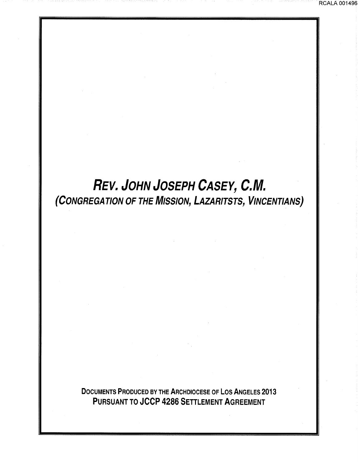# *REV. JOHN JOSEPH CASEY, C.M.*  (CONGREGATION OF THE MISSION, LAZARITSTS, VINCENTIANS)

DOCUMENTS PRODUCED BY THE ARCHDIOCESE OF LOS ANGELES 2013 PURSUANT TO JCCP 4286 SETTLEMENT AGREEMENT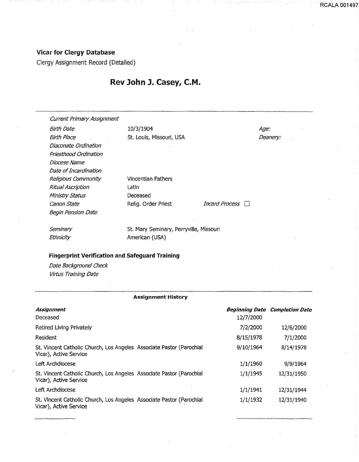## Vicar for Clergy Database

Clergy Assignment Record (Detailed)

# Rev John J. Casey, C.M.

Vincentian Fathers

**Latin** Deceased

Current Primary Assignment

Birth Date 10/3/1904 Birth Place St. Louis, Missouri, USA Diaconate Ordination Priesthood Ordination Diocese Name Date of Incardination Religious Community Ritual Ascription Ministry Status Canon State **Relig.** Order Priest *Incard Process*  $\Box$ Begin Pension Date

**Seminary Ethnicity** 

St. Mary Seminary, Perryville, Missouri American (USA)

### Fingerprint Verification and Safeguard Training

Date Background Check Virtus Training Date

#### Assignment History

| Assignment<br>Deceased                                                                         | <b>Beginning Date</b><br>12/7/2000 | <b>Completion Date</b> |
|------------------------------------------------------------------------------------------------|------------------------------------|------------------------|
| Retired Living Privately                                                                       | 7/2/2000                           | 12/6/2000              |
| Resident                                                                                       | 8/15/1978                          | 7/1/2000               |
| St. Vincent Catholic Church, Los Angeles Associate Pastor (Parochial<br>Vicar), Active Service | 9/10/1964                          | 8/14/1978              |
| Left Archdiocese                                                                               | 1/1/1960                           | 9/9/1964               |
| St. Vincent Catholic Church, Los Angeles Associate Pastor (Parochial<br>Vicar), Active Service | 1/1/1945                           | 12/31/1950             |
| Left Archdiocese                                                                               | 1/1/1941                           | 12/31/1944             |
| St. Vincent Catholic Church, Los Angeles Associate Pastor (Parochial<br>Vicar), Active Service | 1/1/1932                           | 12/31/1940             |

Age: Deanery:

--·--

RCALA 001497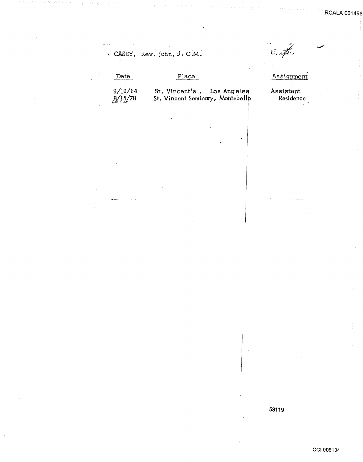**RCALA 0014** 

 $\alpha = 1.5$  $\epsilon$  $\epsilon$ rifer , CASEY, Rev~ John, J. c:M. Place Date **Assignment** St. Vincent's , Los Angeles Assistant 9/10/64 Residence St. Vincent Seminary, Montebello  $8/15/78$ 

53119